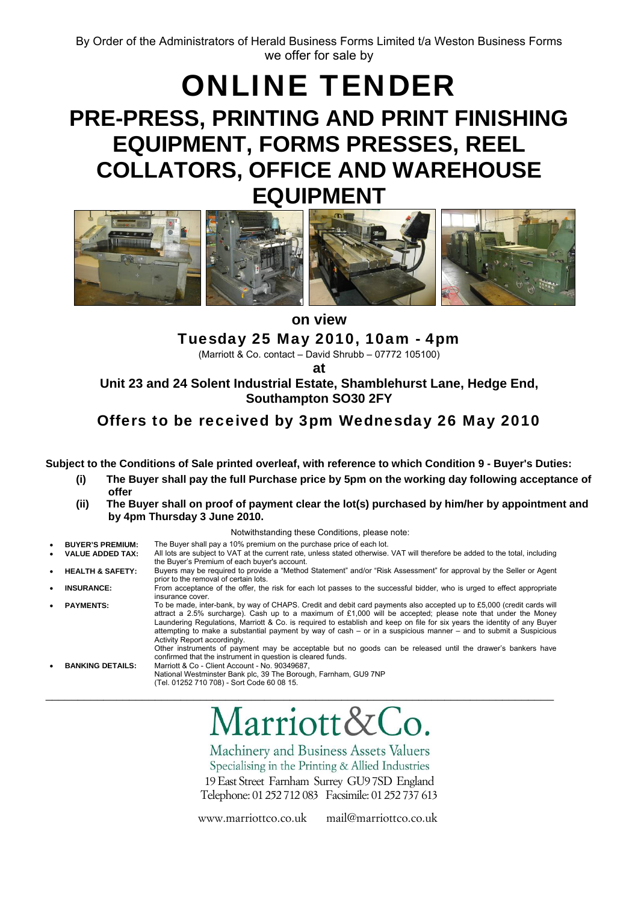# ONLINE TENDER **PRE-PRESS, PRINTING AND PRINT FINISHING EQUIPMENT, FORMS PRESSES, REEL COLLATORS, OFFICE AND WAREHOUSE EQUIPMENT**



Tuesday 25 May 2010, 10am - 4pm

(Marriott & Co. contact – David Shrubb – 07772 105100)

**at** 

**Unit 23 and 24 Solent Industrial Estate, Shamblehurst Lane, Hedge End, Southampton SO30 2FY** 

# Offers to be received by 3pm Wednesday 26 May 2010

**Subject to the Conditions of Sale printed overleaf, with reference to which Condition 9 - Buyer's Duties:** 

- **(i) The Buyer shall pay the full Purchase price by 5pm on the working day following acceptance of offer**
- **(ii) The Buyer shall on proof of payment clear the lot(s) purchased by him/her by appointment and by 4pm Thursday 3 June 2010.**

Notwithstanding these Conditions, please note:

- 
- **BUYER'S PREMIUM:** The Buyer shall pay a 10% premium on the purchase price of each lot.<br>VALUE ADDED TAX: All lots are subject to VAT at the current rate, unless stated otherwise. All lots are subject to VAT at the current rate, unless stated otherwise. VAT will therefore be added to the total, including the Buyer's Premium of each buyer's account.
- **HEALTH & SAFETY:** Buyers may be required to provide a "Method Statement" and/or "Risk Assessment" for approval by the Seller or Agent prior to the removal of certain lots.
- **INSURANCE:** From acceptance of the offer, the risk for each lot passes to the successful bidder, who is urged to effect appropriate insurance cover.
- PAYMENTS: To be made, inter-bank, by way of CHAPS. Credit and debit card payments also accepted up to £5,000 (credit cards will attract a 2.5% surcharge). Cash up to a maximum of £1,000 will be accepted; please note that under the Money Laundering Regulations, Marriott & Co. is required to establish and keep on file for six years the identity of any Buyer attempting to make a substantial payment by way of cash – or in a suspicious manner – and to submit a Suspicious Activity Report accordingly.

\_\_\_\_\_\_\_\_\_\_\_\_\_\_\_\_\_\_\_\_\_\_\_\_\_\_\_\_\_\_\_\_\_\_\_\_\_\_\_\_\_\_\_\_\_\_\_\_\_\_\_\_\_\_\_\_\_\_\_\_\_\_\_\_\_\_\_\_\_\_\_\_\_\_\_\_\_\_\_

Other instruments of payment may be acceptable but no goods can be released until the drawer's bankers have confirmed that the instrument in question is cleared funds. • **BANKING DETAILS:** Marriott & Co - Client Account - No. 90349687,

National Westminster Bank plc, 39 The Borough, Farnham, GU9 7NP (Tel. 01252 710 708) - Sort Code 60 08 15.

Marriott&Co.

Machinery and Business Assets Valuers Specialising in the Printing & Allied Industries 19 East Street Farnham Surrey GU9 7SD England Telephone: 01 252 712 083 Facsimile: 01 252 737 613

www.marriottco.co.uk mail@marriottco.co.uk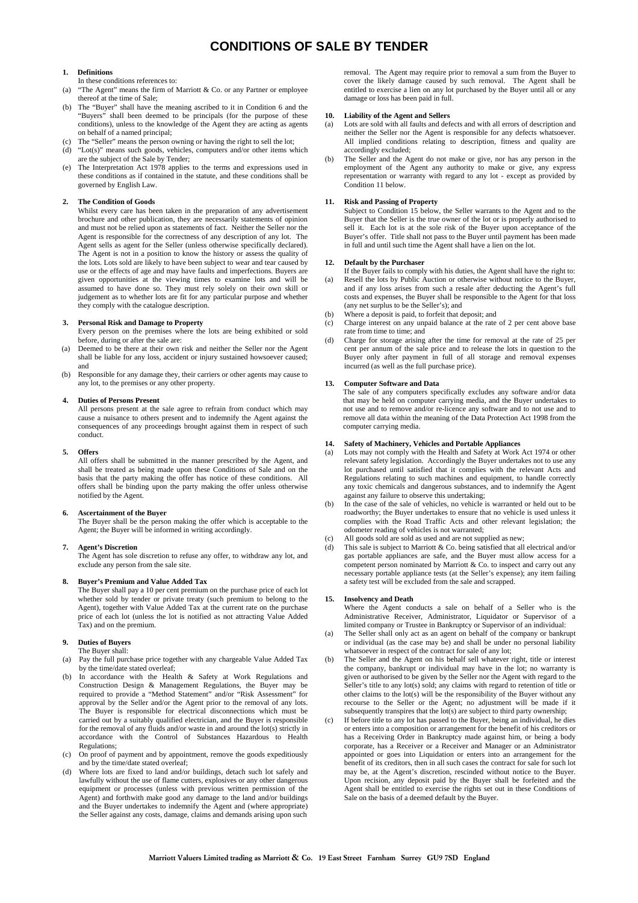### **CONDITIONS OF SALE BY TENDER**

#### **1. Definitions**

- In these conditions references to:
- "The Agent" means the firm of Marriott & Co. or any Partner or employee thereof at the time of Sale;
- (b) The "Buyer" shall have the meaning ascribed to it in Condition 6 and the "Buyers" shall been deemed to be principals (for the purpose of these conditions), unless to the knowledge of the Agent they are acting as agents on behalf of a named principal;
- (c) The "Seller" means the person owning or having the right to sell the lot;
- "Lot(s)" means such goods, vehicles, computers and/or other items which are the subject of the Sale by Tender;
- (e) The Interpretation Act 1978 applies to the terms and expressions used in these conditions as if contained in the statute, and these conditions shall be governed by English Law.

#### **2. The Condition of Goods**

Whilst every care has been taken in the preparation of any advertisement brochure and other publication, they are necessarily statements of opinion and must not be relied upon as statements of fact. Neither the Seller nor the Agent is responsible for the correctness of any description of any lot. The Agent sells as agent for the Seller (unless otherwise specifically declared). The Agent is not in a position to know the history or assess the quality of the lots. Lots sold are likely to have been subject to wear and tear caused by use or the effects of age and may have faults and imperfections. Buyers are given opportunities at the viewing times to examine lots and will be assumed to have done so. They must rely solely on their own skill or judgement as to whether lots are fit for any particular purpose and whether they comply with the catalogue description.

#### **3. Personal Risk and Damage to Property**

- Every person on the premises where the lots are being exhibited or sold before, during or after the sale are:
- (a) Deemed to be there at their own risk and neither the Seller nor the Agent shall be liable for any loss, accident or injury sustained howsoever caused; and
- (b) Responsible for any damage they, their carriers or other agents may cause to any lot, to the premises or any other property.

#### **4. Duties of Persons Present**

All persons present at the sale agree to refrain from conduct which may cause a nuisance to others present and to indemnify the Agent against the consequences of any proceedings brought against them in respect of such conduct.

#### **5. Offers**

All offers shall be submitted in the manner prescribed by the Agent, and shall be treated as being made upon these Conditions of Sale and on the basis that the party making the offer has notice of these conditions. All offers shall be binding upon the party making the offer unless otherwise notified by the Agent.

#### **6. Ascertainment of the Buyer**

The Buyer shall be the person making the offer which is acceptable to the Agent; the Buyer will be informed in writing accordingly.

#### **7. Agent's Discretion**

The Agent has sole discretion to refuse any offer, to withdraw any lot, and exclude any person from the sale site.

#### **8. Buyer's Premium and Value Added Tax**

The Buyer shall pay a 10 per cent premium on the purchase price of each lot whether sold by tender or private treaty (such premium to belong to the Agent), together with Value Added Tax at the current rate on the purchase price of each lot (unless the lot is notified as not attracting Value Added Tax) and on the premium.

#### **9. Duties of Buyers**  The Buyer shall:

- (a) Pay the full purchase price together with any chargeable Value Added Tax by the time/date stated overleaf;
- (b) In accordance with the Health & Safety at Work Regulations and Construction Design & Management Regulations, the Buyer may be required to provide a "Method Statement" and/or "Risk Assessment" for approval by the Seller and/or the Agent prior to the removal of any lots. The Buyer is responsible for electrical disconnections which must be carried out by a suitably qualified electrician, and the Buyer is responsible for the removal of any fluids and/or waste in and around the lot(s) strictly in accordance with the Control of Substances Hazardous to Health Regulations;
- (c) On proof of payment and by appointment, remove the goods expeditiously and by the time/date stated overleaf;
- (d) Where lots are fixed to land and/or buildings, detach such lot safely and lawfully without the use of flame cutters, explosives or any other dangerous equipment or processes (unless with previous written permission of the Agent) and forthwith make good any damage to the land and/or buildings and the Buyer undertakes to indemnify the Agent and (where appropriate) the Seller against any costs, damage, claims and demands arising upon such

removal. The Agent may require prior to removal a sum from the Buyer to cover the likely damage caused by such removal. The Agent shall be entitled to exercise a lien on any lot purchased by the Buyer until all or any damage or loss has been paid in full.

#### **10. Liability of the Agent and Sellers**

- (a) Lots are sold with all faults and defects and with all errors of description and neither the Seller nor the Agent is responsible for any defects whatsoever. All implied conditions relating to description, fitness and quality are accordingly excluded;
- The Seller and the Agent do not make or give, nor has any person in the employment of the Agent any authority to make or give, any express representation or warranty with regard to any lot - except as provided by Condition 11 below.

#### **Risk and Passing of Property**

Subject to Condition 15 below, the Seller warrants to the Agent and to the Buyer that the Seller is the true owner of the lot or is properly authorised to sell it. Each lot is at the sole risk of the Buyer upon acceptance of the Buyer's offer. Title shall not pass to the Buyer until payment has been made in full and until such time the Agent shall have a lien on the lot.

#### **12. Default by the Purchaser**

- If the Buyer fails to comply with his duties, the Agent shall have the right to: (a) Resell the lots by Public Auction or otherwise without notice to the Buyer, and if any loss arises from such a resale after deducting the Agent's full costs and expenses, the Buyer shall be responsible to the Agent for that loss (any net surplus to be the Seller's); and
- (b) Where a deposit is paid, to forfeit that deposit; and
- (c) Charge interest on any unpaid balance at the rate of 2 per cent above base rate from time to time; and
- (d) Charge for storage arising after the time for removal at the rate of 25 per cent per annum of the sale price and to release the lots in question to the Buyer only after payment in full of all storage and removal expenses incurred (as well as the full purchase price).

#### **13. Computer Software and Data**

The sale of any computers specifically excludes any software and/or data that may be held on computer carrying media, and the Buyer undertakes to not use and to remove and/or re-licence any software and to not use and to remove all data within the meaning of the Data Protection Act 1998 from the computer carrying media.

#### **14. Safety of Machinery, Vehicles and Portable Appliances**

- (a) Lots may not comply with the Health and Safety at Work Act 1974 or other relevant safety legislation. Accordingly the Buyer undertakes not to use any lot purchased until satisfied that it complies with the relevant Acts and Regulations relating to such machines and equipment, to handle correctly any toxic chemicals and dangerous substances, and to indemnify the Agent against any failure to observe this undertaking;
- (b) In the case of the sale of vehicles, no vehicle is warranted or held out to be roadworthy; the Buyer undertakes to ensure that no vehicle is used unless it complies with the Road Traffic Acts and other relevant legislation; the odometer reading of vehicles is not warranted;
- (c) All goods sold are sold as used and are not supplied as new;
- (d) This sale is subject to Marriott & Co. being satisfied that all electrical and/or gas portable appliances are safe, and the Buyer must allow access for a competent person nominated by Marriott & Co. to inspect and carry out any necessary portable appliance tests (at the Seller's expense); any item failing a safety test will be excluded from the sale and scrapped.

#### **15. Insolvency and Death**

- Where the Agent conducts a sale on behalf of a Seller who is the Administrative Receiver, Administrator, Liquidator or Supervisor of a limited company or Trustee in Bankruptcy or Supervisor of an individual:
- (a) The Seller shall only act as an agent on behalf of the company or bankrupt or individual (as the case may be) and shall be under no personal liability whatsoever in respect of the contract for sale of any lot;
- (b) The Seller and the Agent on his behalf sell whatever right, title or interest the company, bankrupt or individual may have in the lot; no warranty is given or authorised to be given by the Seller nor the Agent with regard to the Seller's title to any lot(s) sold; any claims with regard to retention of title or other claims to the lot(s) will be the responsibility of the Buyer without any recourse to the Seller or the Agent; no adjustment will be made if it subsequently transpires that the  $\text{lot}(s)$  are subject to third party ownership;
- (c) If before title to any lot has passed to the Buyer, being an individual, he dies or enters into a composition or arrangement for the benefit of his creditors or has a Receiving Order in Bankruptcy made against him, or being a body corporate, has a Receiver or a Receiver and Manager or an Administrator appointed or goes into Liquidation or enters into an arrangement for the benefit of its creditors, then in all such cases the contract for sale for such lot may be, at the Agent's discretion, rescinded without notice to the Buyer. Upon recision, any deposit paid by the Buyer shall be forfeited and the Agent shall be entitled to exercise the rights set out in these Conditions of Sale on the basis of a deemed default by the Buyer.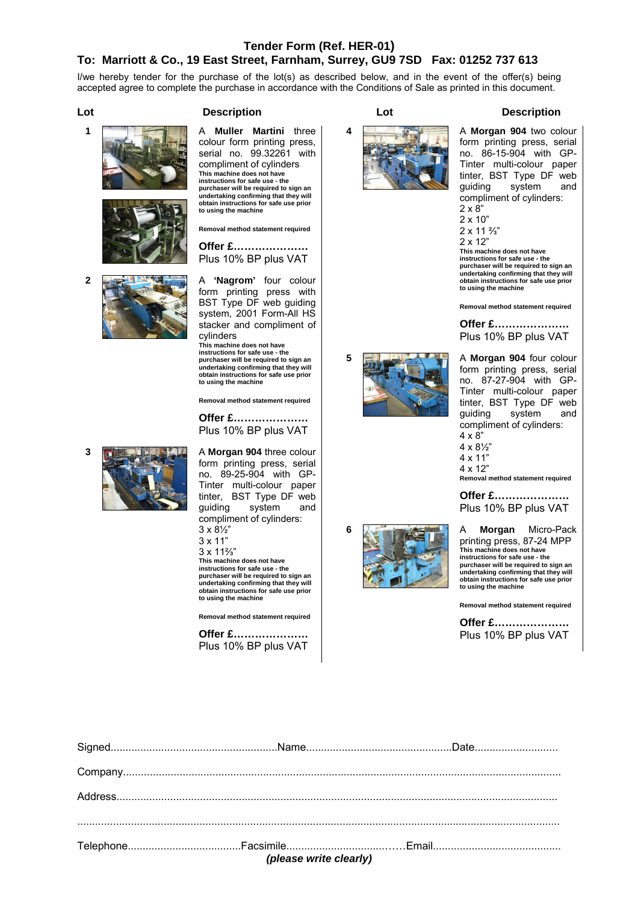### **Tender Form (Ref. HER-01)**

### **To: Marriott & Co., 19 East Street, Farnham, Surrey, GU9 7SD Fax: 01252 737 613**

I/we hereby tender for the purchase of the lot(s) as described below, and in the event of the offer(s) being accepted agree to complete the purchase in accordance with the Conditions of Sale as printed in this document.

**Lot Description Lot Description** 



colour form printing press, serial no. 99.32261 with compliment of cylinders **This machine does not have instructions for safe use - the purchaser will be required to sign an undertaking confirming that they will obtain instructions for safe use prior to using the machine** 

**Removal method statement required** 

**Offer £…………………**  Plus 10% BP plus VAT

**2 A 'Nagrom'** four colour form printing press with BST Type DF web guiding system, 2001 Form-All HS stacker and compliment of cylinders

**This machine does not have instructions for safe use - the purchaser will be required to sign an undertaking confirming that they will obtain instructions for safe use prior to using the machine** 

**Removal method statement required** 

**Offer £…………………**  Plus 10% BP plus VAT

form printing press, serial no. 89-25-904 with GP-Tinter multi-colour paper tinter, BST Type DF web guiding system and compliment of cylinders:

3 x 8½"

3 x 11"

3 x 11⅔"

**to using the machine** 

**This machine does not have instructions for safe use - the purchaser will be required to sign an undertaking confirming that they will obtain instructions for safe use prior** 

**Removal method statement required** 

**Offer £…………………**  Plus 10% BP plus VAT



**4 A Morgan 904** two colour form printing press, serial no. 86-15-904 with GP-Tinter multi-colour paper tinter, BST Type DF web guiding system and compliment of cylinders:

 $2 \times 8$ " 2 x 10" 2 x 11 ⅔" 2 x 12"

**This machine does not have instructions for safe use - the purchaser will be required to sign an undertaking confirming that they will obtain instructions for safe use prior to using the machine** 

**Removal method statement required** 

**Offer £…………………**  Plus 10% BP plus VAT





form printing press, serial no. 87-27-904 with GP-Tinter multi-colour paper tinter, BST Type DF web guiding system and compliment of cylinders: 4 x 8"

4 x 8½"

4 x 11"

4 x 12" **Removal method statement required** 

**Offer £…………………**  Plus 10% BP plus VAT

**6** A **Morgan** Micro-Pack printing press, 87-24 MPP **This machine does not have instructions for safe use - the purchaser will be required to sign an undertaking confirming that they will obtain instructions for safe use prior to using the machine** 

**Removal method statement required** 

| (please write clearly) |  |  |  |
|------------------------|--|--|--|
|                        |  |  |  |
|                        |  |  |  |
|                        |  |  |  |
|                        |  |  |  |
|                        |  |  |  |

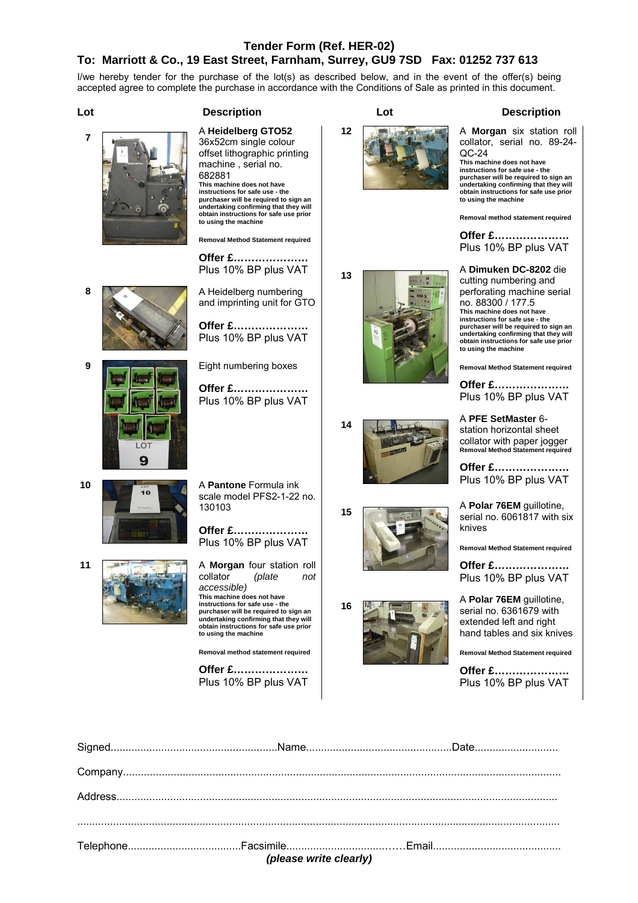### **Tender Form (Ref. HER-02) To: Marriott & Co., 19 East Street, Farnham, Surrey, GU9 7SD Fax: 01252 737 613**

I/we hereby tender for the purchase of the lot(s) as described below, and in the event of the offer(s) being accepted agree to complete the purchase in accordance with the Conditions of Sale as printed in this document.





36x52cm single colour offset lithographic printing machine , serial no. 682881 **This machine does not have instructions for safe use - the purchaser will be required to sign an undertaking confirming that they will obtain instructions for safe use prior to using the machine** 

**Removal Method Statement required** 

**Offer £…………………**  Plus 10% BP plus VAT

**8 A** Heidelberg numbering and imprinting unit for GTO

> **Offer £…………………**  Plus 10% BP plus VAT

**9 Eight numbering boxes** 

**Offer £…………………**  Plus 10% BP plus VAT

 $\mathbf{Q}$ 

**10** A **Pantone** Formula ink scale model PFS2-1-22 no. 130103

> **Offer £…………………**  Plus 10% BP plus VAT

**11 A Morgan** four station roll collator (plate not collator *(plate not accessible)*  **This machine does not have instructions for safe use - the purchaser will be required to sign an undertaking confirming that they will obtain instructions for safe use prior to using the machine** 

**Removal method statement required** 

Plus 10% BP plus VAT



### **12 A Morgan** six station roll collator, serial no. 89-24- QC-24 **This machine does not have instructions for safe use - the purchaser will be required to sign an**

**undertaking confirming that they will obtain instructions for safe use prior to using the machine** 

**Removal method statement required** 

**Offer £…………………**  Plus 10% BP plus VAT

**<sup>13</sup>**A **Dimuken DC-8202** die cutting numbering and perforating machine serial no. 88300 / 177.5 **This machine does not have instructions for safe use - the purchaser will be required to sign an undertaking confirming that they will obtain instructions for safe use prior to using the machine** 

**Removal Method Statement required** 

**Offer £…………………**  Plus 10% BP plus VAT

**<sup>14</sup>**A **PFE SetMaster** 6 station horizontal sheet collator with paper jogger **Removal Method Statement required** 

> **Offer £…………………**  Plus 10% BP plus VAT

**<sup>15</sup>**A **Polar 76EM** guillotine, serial no. 6061817 with six knives

**Removal Method Statement required** 

**Offer £…………………**  Plus 10% BP plus VAT

**16**<sup>14</sup>**A Polar 76EM** guillotine, serial no. 6361679 with extended left and right hand tables and six knives

**Removal Method Statement required** 

**Offer £…………………**  Plus 10% BP plus VAT

| (please write clearly) |  |  |  |
|------------------------|--|--|--|

**Offer £…………………**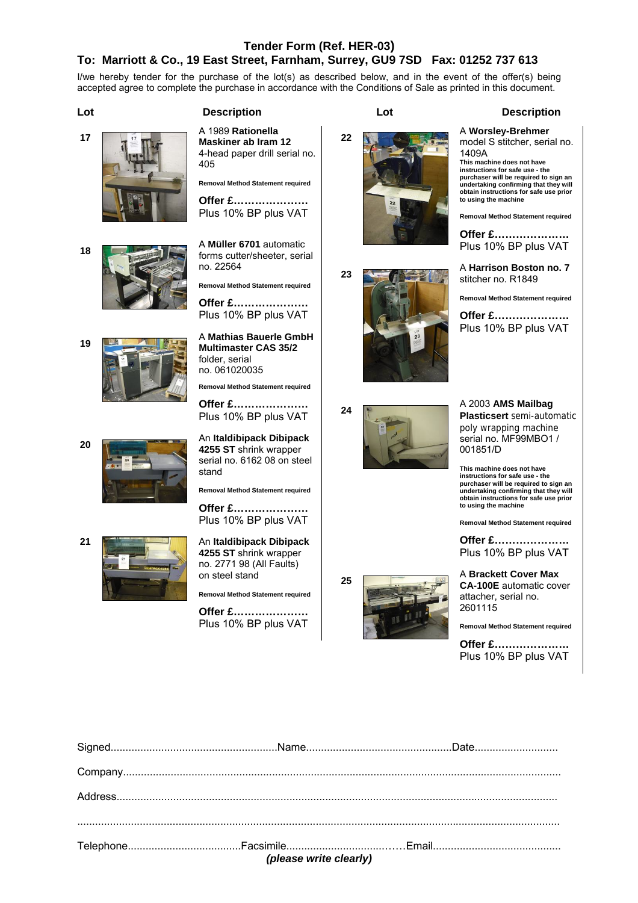### **Tender Form (Ref. HER-03) To: Marriott & Co., 19 East Street, Farnham, Surrey, GU9 7SD Fax: 01252 737 613**

I/we hereby tender for the purchase of the lot(s) as described below, and in the event of the offer(s) being accepted agree to complete the purchase in accordance with the Conditions of Sale as printed in this document.

**Lot Description Lot Description** 









forms cutter/sheeter, serial no. 22564

**Removal Method Statement required Offer £…………………**  Plus 10% BP plus VAT

**Maskiner ab Iram 12**  4-head paper drill serial no.

405

**Removal Method Statement required** 

**Offer £…………………**  Plus 10% BP plus VAT

**Multimaster CAS 35/2**  folder, serial no. 061020035

**Removal Method Statement required** 

**Offer £…………………**  Plus 10% BP plus VAT

**<sup>20</sup>**An **Italdibipack Dibipack 4255 ST** shrink wrapper serial no. 6162 08 on steel stand

**Removal Method Statement required** 

**Offer £…………………**  Plus 10% BP plus VAT

**21** An **Italdibipack Dibipack 4255 ST** shrink wrapper no. 2771 98 (All Faults) on steel stand

**Removal Method Statement required** 

**Offer £…………………**  Plus 10% BP plus VAT **<sup>22</sup>**A **Worsley-Brehmer**





model S stitcher, serial no.

**This machine does not have instructions for safe use - the purchaser will be required to sign an undertaking confirming that they will obtain instructions for safe use prior to using the machine Removal Method Statement required Offer £…………………**  Plus 10% BP plus VAT

1409A

**This machine does not have instructions for safe use - the purchaser will be required to sign an undertaking confirming that they will obtain instructions for safe use prior to using the machine** 

**Removal Method Statement required** 

**Offer £…………………**  Plus 10% BP plus VAT

**<sup>25</sup>**A **Brackett Cover Max CA-100E** automatic cover attacher, serial no. 2601115

**Removal Method Statement required** 

| ${Company.} \label{def:comp} \begin{minipage}[c]{0.9\linewidth} \normalsize \begin{minipage}[c]{0.9\linewidth} \normalsize \begin{minipage}[c]{0.9\linewidth} \normalsize \begin{minipage}[c]{0.9\linewidth} \normalsize \begin{minipage}[c]{0.9\linewidth} \normalsize \begin{minipage}[c]{0.9\linewidth} \normalsize \begin{minipage}[c]{0.9\linewidth} \normalsize \begin{minipage}[c]{0.9\linewidth} \normalsize \begin{minipage}[c]{0.9\linewidth} \normalsize \begin{minipage}[c]{0.9\linewidth} \normalsize \begin{minipage}[c]{0.9\linewidth} \normals$ |  |  |  |
|-----------------------------------------------------------------------------------------------------------------------------------------------------------------------------------------------------------------------------------------------------------------------------------------------------------------------------------------------------------------------------------------------------------------------------------------------------------------------------------------------------------------------------------------------------------------|--|--|--|
|                                                                                                                                                                                                                                                                                                                                                                                                                                                                                                                                                                 |  |  |  |
|                                                                                                                                                                                                                                                                                                                                                                                                                                                                                                                                                                 |  |  |  |
|                                                                                                                                                                                                                                                                                                                                                                                                                                                                                                                                                                 |  |  |  |
|                                                                                                                                                                                                                                                                                                                                                                                                                                                                                                                                                                 |  |  |  |
| (please write clearly)                                                                                                                                                                                                                                                                                                                                                                                                                                                                                                                                          |  |  |  |



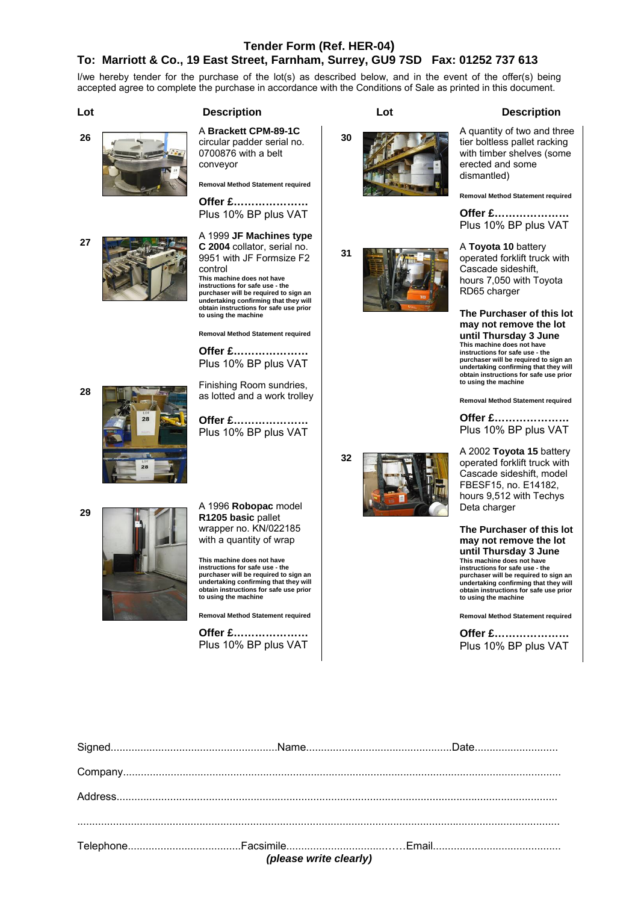### **Tender Form (Ref. HER-04)**

### **To: Marriott & Co., 19 East Street, Farnham, Surrey, GU9 7SD Fax: 01252 737 613**

I/we hereby tender for the purchase of the lot(s) as described below, and in the event of the offer(s) being accepted agree to complete the purchase in accordance with the Conditions of Sale as printed in this document.



### **Lot Description Lot Description**

circular padder serial no. 0700876 with a belt conveyor

**Removal Method Statement required** 

**Offer £…………………**  Plus 10% BP plus VAT

**<sup>27</sup>**A 1999 **JF Machines type C 2004** collator, serial no. 9951 with JF Formsize F2 control **This machine does not have instructions for safe use - the purchaser will be required to sign an undertaking confirming that they will obtain instructions for safe use prior to using the machine** 

**Removal Method Statement required** 

**Offer £…………………**  Plus 10% BP plus VAT

**28Finishing Room sundries,** as lotted and a work trolley

> **Offer £…………………**  Plus 10% BP plus VAT



**<sup>29</sup>**A 1996 **Robopac** model **R1205 basic** pallet wrapper no. KN/022185 with a quantity of wrap

> **This machine does not have instructions for safe use - the purchaser will be required to sign an undertaking confirming that they will obtain instructions for safe use prior to using the machine**

**Removal Method Statement required** 

**Offer £…………………**  Plus 10% BP plus VAT



**30**A quantity of two and three tier boltless pallet racking with timber shelves (some erected and some dismantled)

**Removal Method Statement required** 

**Offer £…………………**  Plus 10% BP plus VAT

**<sup>31</sup>**A **Toyota 10** battery operated forklift truck with Cascade sideshift, hours 7,050 with Toyota RD65 charger

> **The Purchaser of this lot may not remove the lot until Thursday 3 June This machine does not have instructions for safe use - the purchaser will be required to sign an undertaking confirming that they will obtain instructions for safe use prior to using the machine**

**Removal Method Statement required** 

**Offer £…………………**  Plus 10% BP plus VAT

**<sup>32</sup>**A 2002 **Toyota 15** battery operated forklift truck with Cascade sideshift, model FBESF15, no. E14182, hours 9,512 with Techys Deta charger

> **The Purchaser of this lot may not remove the lot until Thursday 3 June This machine does not have instructions for safe use - the purchaser will be required to sign an undertaking confirming that they will obtain instructions for safe use prior to using the machine**

**Removal Method Statement required** 

| (please write clearly) |  |                                                                                                                                                                                                                                                                                                                                                                                                                                                                                                                                                                                                                                           |  |
|------------------------|--|-------------------------------------------------------------------------------------------------------------------------------------------------------------------------------------------------------------------------------------------------------------------------------------------------------------------------------------------------------------------------------------------------------------------------------------------------------------------------------------------------------------------------------------------------------------------------------------------------------------------------------------------|--|
|                        |  |                                                                                                                                                                                                                                                                                                                                                                                                                                                                                                                                                                                                                                           |  |
|                        |  |                                                                                                                                                                                                                                                                                                                                                                                                                                                                                                                                                                                                                                           |  |
|                        |  |                                                                                                                                                                                                                                                                                                                                                                                                                                                                                                                                                                                                                                           |  |
|                        |  | $\label{eq:main} \textbf{Company}.\textcolor{red}{\textbf{Summary}.\textcolor{blue}{\textbf{Summary}.\textcolor{blue}{\textbf{Summary}.\textcolor{blue}{\textbf{Summary}.\textcolor{blue}{\textbf{Summary}.\textcolor{blue}{\textbf{Summary}.\textcolor{blue}{\textbf{Summary}.\textcolor{blue}{\textbf{Summary}.\textcolor{blue}{\textbf{Summary}.\textcolor{blue}{\textbf{Summary}.\textcolor{blue}{\textbf{Summary}.\textcolor{blue}{\textbf{Summary}.\textcolor{blue}{\textbf{Summary}.\textcolor{blue}{\textbf{Summary}.\textcolor{blue}{\textbf{Summary}.\textcolor{blue}{\textbf{Summary}.\textcolor{blue}{\textbf{Summary}.\text$ |  |
|                        |  |                                                                                                                                                                                                                                                                                                                                                                                                                                                                                                                                                                                                                                           |  |
|                        |  |                                                                                                                                                                                                                                                                                                                                                                                                                                                                                                                                                                                                                                           |  |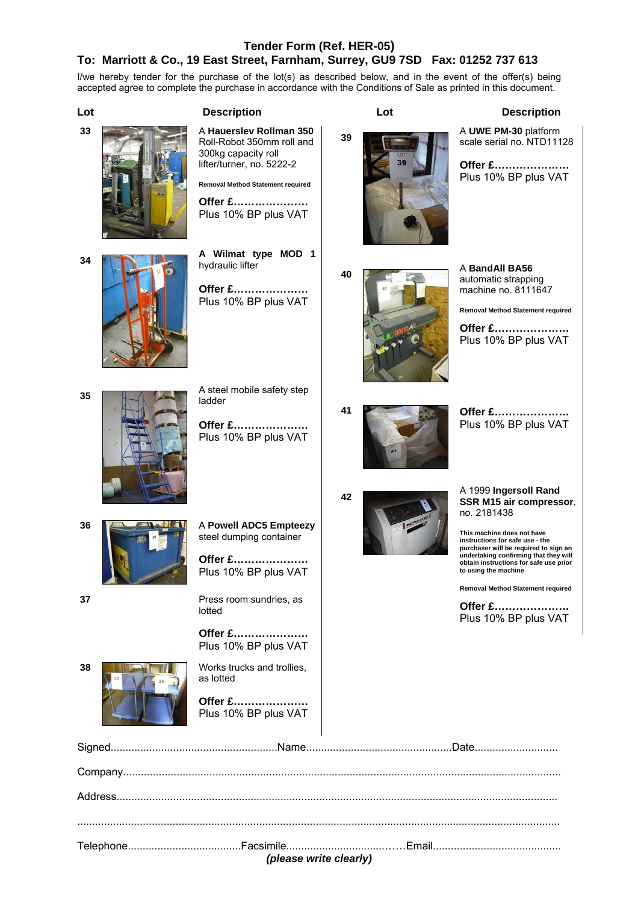### **Tender Form (Ref. HER-05)**

### **To: Marriott & Co., 19 East Street, Farnham, Surrey, GU9 7SD Fax: 01252 737 613**

I/we hereby tender for the purchase of the lot(s) as described below, and in the event of the offer(s) being accepted agree to complete the purchase in accordance with the Conditions of Sale as printed in this document.

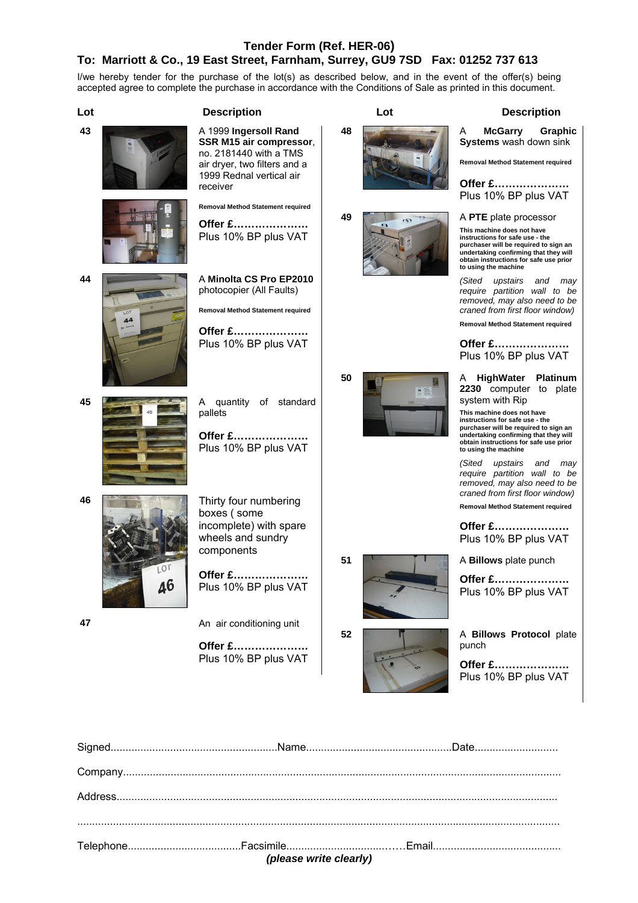### **Tender Form (Ref. HER-06) To: Marriott & Co., 19 East Street, Farnham, Surrey, GU9 7SD Fax: 01252 737 613**

I/we hereby tender for the purchase of the lot(s) as described below, and in the event of the offer(s) being accepted agree to complete the purchase in accordance with the Conditions of Sale as printed in this document.



| (please write clearly) |  |  |  |
|------------------------|--|--|--|
|                        |  |  |  |
|                        |  |  |  |
|                        |  |  |  |
|                        |  |  |  |
|                        |  |  |  |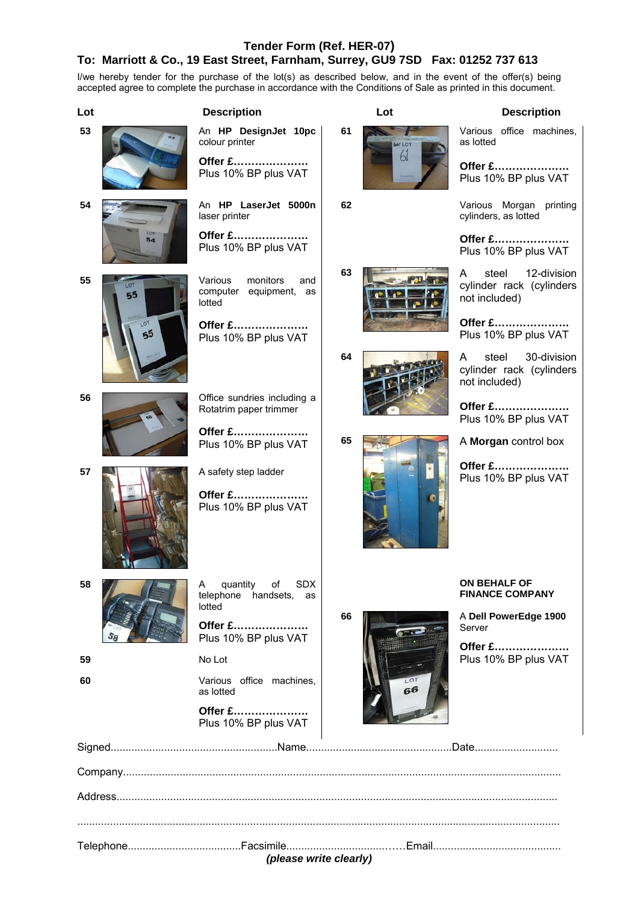### **Tender Form (Ref. HER-07)**

## **To: Marriott & Co., 19 East Street, Farnham, Surrey, GU9 7SD Fax: 01252 737 613**

I/we hereby tender for the purchase of the lot(s) as described below, and in the event of the offer(s) being accepted agree to complete the purchase in accordance with the Conditions of Sale as printed in this document.

| Lot             | <b>Description</b>                                             |    | Lot    | <b>Description</b>                                                     |
|-----------------|----------------------------------------------------------------|----|--------|------------------------------------------------------------------------|
| 53              | An HP DesignJet 10pc<br>colour printer                         | 61 | MY LOT | Various office machines,<br>as lotted                                  |
|                 | Offer £<br>Plus 10% BP plus VAT                                |    | 61     | Offer £<br>Plus 10% BP plus VAT                                        |
| 54              | An HP LaserJet 5000n<br>laser printer                          | 62 |        | Various Morgan printing<br>cylinders, as lotted                        |
| 54              | Offer £<br>Plus 10% BP plus VAT                                |    |        | Offer £<br>Plus 10% BP plus VAT                                        |
| 55<br>LOT<br>55 | Various<br>monitors<br>and<br>computer equipment, as<br>lotted | 63 |        | steel<br>12-division<br>A<br>cylinder rack (cylinders<br>not included) |
| LOT<br>55       | Offer £<br>Plus 10% BP plus VAT                                |    |        | Offer £<br>Plus 10% BP plus VAT                                        |
|                 |                                                                | 64 |        | steel<br>30-division<br>A<br>cylinder rack (cylinders<br>not included) |
| 56              | Office sundries including a<br>Rotatrim paper trimmer          |    |        | <b>Offer £</b><br>Plus 10% BP plus VAT                                 |
|                 | <b>Offer £</b><br>Plus 10% BP plus VAT                         | 65 |        | A Morgan control box                                                   |
| 57              | A safety step ladder                                           |    |        | Offer £<br>Plus 10% BP plus VAT                                        |
|                 | Offer £<br>Plus 10% BP plus VAT                                |    |        |                                                                        |
| ၁၀              | A quantity of SDX<br>telephone handsets, as<br>lotted          |    |        | ON BEHALF OF<br><b>FINANCE COMPANY</b>                                 |
|                 | Offer £<br>Plus 10% BP plus VAT                                | 66 |        | A Dell PowerEdge 1900<br>Server                                        |
| 59              | No Lot                                                         |    |        | Offer £<br>Plus 10% BP plus VAT                                        |
| 60              | Various office machines,<br>as lotted                          |    | 66     |                                                                        |
|                 | Offer £<br>Plus 10% BP plus VAT                                |    |        |                                                                        |
|                 |                                                                |    |        |                                                                        |
|                 |                                                                |    |        |                                                                        |
|                 |                                                                |    |        |                                                                        |
|                 | (please write clearly)                                         |    |        |                                                                        |